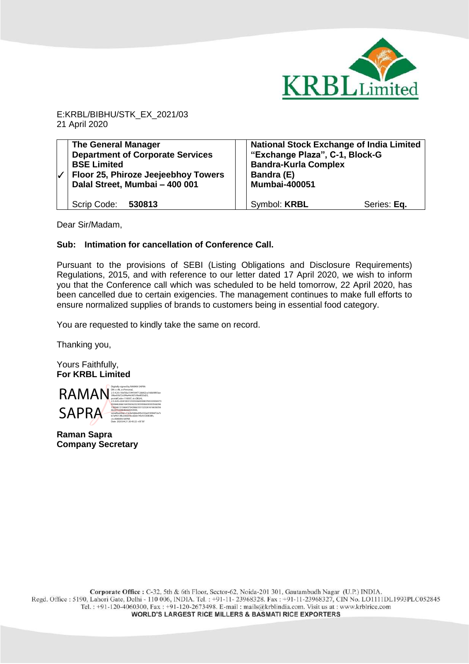

E:KRBL/BIBHU/STK\_EX\_2021/03 21 April 2020

| <b>The General Manager</b><br><b>Department of Corporate Services</b><br><b>BSE Limited</b><br>Floor 25, Phiroze Jeejeebhoy Towers<br>Dalal Street, Mumbai - 400 001 | <b>National Stock Exchange of India Limited</b><br>"Exchange Plaza", C-1, Block-G<br><b>Bandra-Kurla Complex</b><br>Bandra (E)<br><b>Mumbai-400051</b> |             |
|----------------------------------------------------------------------------------------------------------------------------------------------------------------------|--------------------------------------------------------------------------------------------------------------------------------------------------------|-------------|
| Scrip Code: 530813                                                                                                                                                   | Symbol: <b>KRBL</b>                                                                                                                                    | Series: Eq. |

Dear Sir/Madam,

## **Sub: Intimation for cancellation of Conference Call.**

Pursuant to the provisions of SEBI (Listing Obligations and Disclosure Requirements) Regulations, 2015, and with reference to our letter dated 17 April 2020, we wish to inform you that the Conference call which was scheduled to be held tomorrow, 22 April 2020, has been cancelled due to certain exigencies. The management continues to make full efforts to ensure normalized supplies of brands to customers being in essential food category.

You are requested to kindly take the same on record.

Thanking you,

Yours Faithfully, **For KRBL Limited** 



**Raman Sapra Company Secretary**